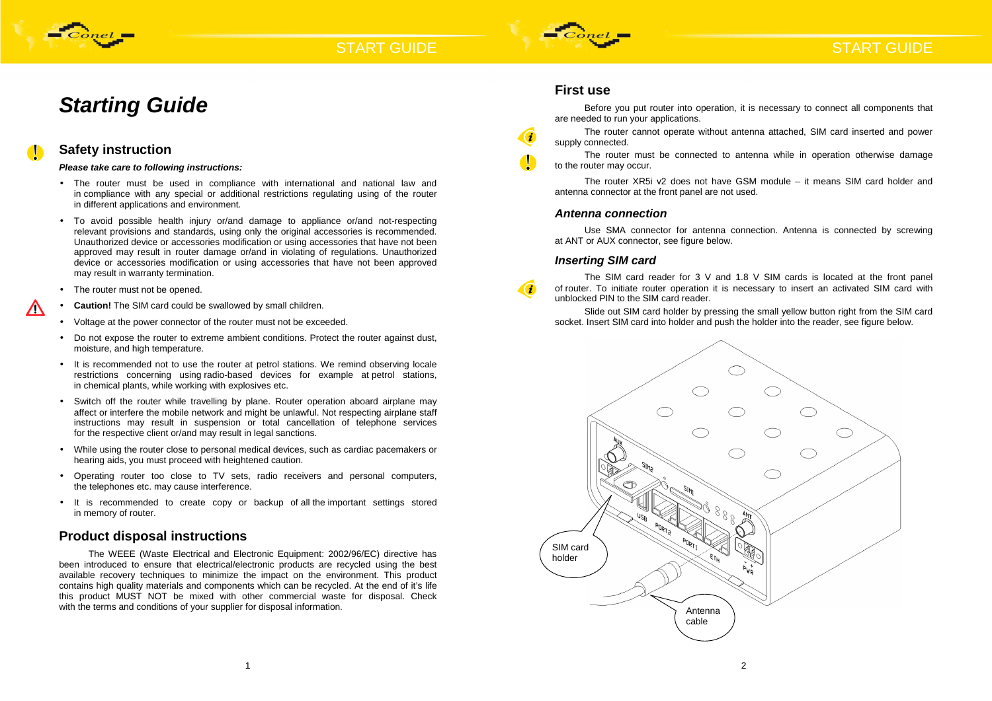

# **START GUIDE**

# **Starting Guide**



 $\sqrt{N}$ 

### **Safety instruction**

**Please take care to following instructions:** 

The WEEE (Waste Electrical and Electronic Equipment: 2002/96/EC) directive has been introduced to ensure that electrical/electronic products are recycled using the best available recovery techniques to minimize the impact on the environment. This product contains high quality materials and components which can be recycled. At the end of it's life this product MUST NOT be mixed with other commercial waste for disposal. Check with the terms and conditions of your supplier for disposal information.

- The router must be used in compliance with international and national law and in compliance with any special or additional restrictions regulating using of the router in different applications and environment.
- To avoid possible health injury or/and damage to appliance or/and not-respecting relevant provisions and standards, using only the original accessories is recommended. Unauthorized device or accessories modification or using accessories that have not been approved may result in router damage or/and in violating of regulations. Unauthorized device or accessories modification or using accessories that have not been approved may result in warranty termination.
- The router must not be opened.
- •**Caution!** The SIM card could be swallowed by small children.
- Voltage at the power connector of the router must not be exceeded.
- Do not expose the router to extreme ambient conditions. Protect the router against dust, moisture, and high temperature.
- It is recommended not to use the router at petrol stations. We remind observing locale restrictions concerning using radio-based devices for example at petrol stations, in chemical plants, while working with explosives etc.
- Switch off the router while travelling by plane. Router operation aboard airplane may affect or interfere the mobile network and might be unlawful. Not respecting airplane staff instructions may result in suspension or total cancellation of telephone services for the respective client or/and may result in legal sanctions.
- While using the router close to personal medical devices, such as cardiac pacemakers or hearing aids, you must proceed with heightened caution.
- Operating router too close to TV sets, radio receivers and personal computers, the telephones etc. may cause interference.
- It is recommended to create copy or backup of all the important settings stored in memory of router.

### **Product disposal instructions**

# START GUIDE

### **First use**

Before you put router into operation, it is necessary to connect all components that are needed to run your applications. The router cannot operate without antenna attached, SIM card inserted and power supply connected. The router must be connected to antenna while in operation otherwise damage to the router may occur. The router XR5i v2 does not have GSM module – it means SIM card holder and antenna connector at the front panel are not used.

#### **Antenna connection**

Use SMA connector for antenna connection. Antenna is connected by screwing at ANT or AUX connector, see figure below.

### **Inserting SIM card**



The SIM card reader for 3 V and 1.8 V SIM cards is located at the front panel of router. To initiate router operation it is necessary to insert an activated SIM card with unblocked PIN to the SIM card reader.

Slide out SIM card holder by pressing the small yellow button right from the SIM card socket. Insert SIM card into holder and push the holder into the reader, see figure below.